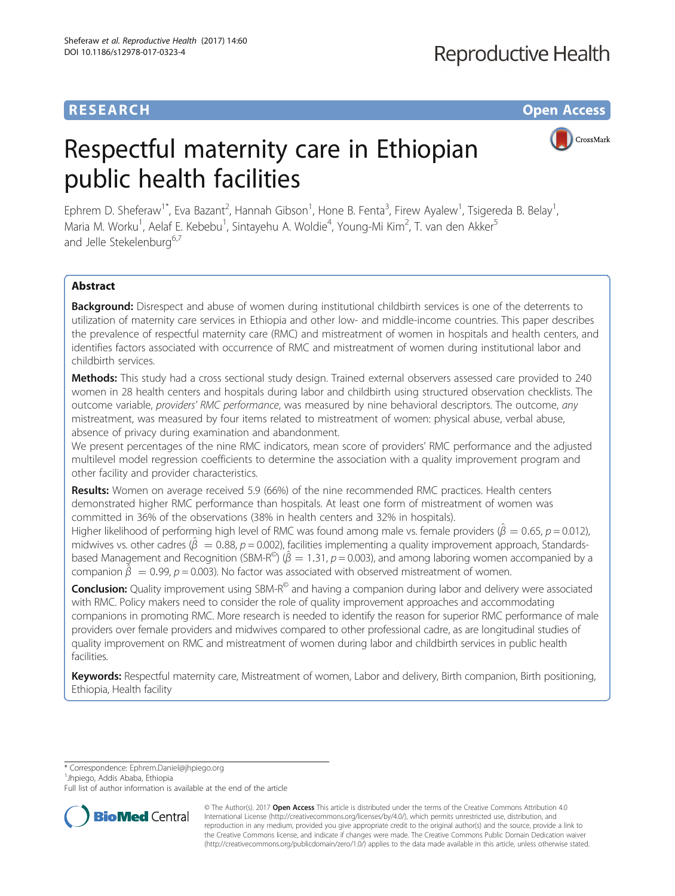# **RESEARCH CHE Open Access**

# Respectful maternity care in Ethiopian public health facilities

CrossMark

Ephrem D. Sheferaw<sup>1\*</sup>, Eva Bazant<sup>2</sup>, Hannah Gibson<sup>1</sup>, Hone B. Fenta<sup>3</sup>, Firew Ayalew<sup>1</sup>, Tsigereda B. Belay<sup>1</sup> , Maria M. Worku<sup>1</sup>, Aelaf E. Kebebu<sup>1</sup>, Sintayehu A. Woldie<sup>4</sup>, Young-Mi Kim<sup>2</sup>, T. van den Akker<sup>5</sup> and Jelle Stekelenburg<sup>6,7</sup>

# Abstract

**Background:** Disrespect and abuse of women during institutional childbirth services is one of the deterrents to utilization of maternity care services in Ethiopia and other low- and middle-income countries. This paper describes the prevalence of respectful maternity care (RMC) and mistreatment of women in hospitals and health centers, and identifies factors associated with occurrence of RMC and mistreatment of women during institutional labor and childbirth services.

Methods: This study had a cross sectional study design. Trained external observers assessed care provided to 240 women in 28 health centers and hospitals during labor and childbirth using structured observation checklists. The outcome variable, providers' RMC performance, was measured by nine behavioral descriptors. The outcome, any mistreatment, was measured by four items related to mistreatment of women: physical abuse, verbal abuse, absence of privacy during examination and abandonment.

We present percentages of the nine RMC indicators, mean score of providers' RMC performance and the adjusted multilevel model regression coefficients to determine the association with a quality improvement program and other facility and provider characteristics.

Results: Women on average received 5.9 (66%) of the nine recommended RMC practices. Health centers demonstrated higher RMC performance than hospitals. At least one form of mistreatment of women was committed in 36% of the observations (38% in health centers and 32% in hospitals).

Higher likelihood of performing high level of RMC was found among male vs. female providers ( $\hat{\beta} = 0.65$ , p = 0.012), midwives vs. other cadres ( $\hat{\beta} = 0.88$ , p = 0.002), facilities implementing a quality improvement approach, Standardsbased Management and Recognition (SBM-R<sup>®</sup>) ( $\hat{\beta} = 1.31$ ,  $p = 0.003$ ), and among laboring women accompanied by a companion  $\tilde{\hat{\beta}} = 0.99$ ,  $p = 0.003$ ). No factor was associated with observed mistreatment of women.

**Conclusion:** Quality improvement using SBM-R<sup>©</sup> and having a companion during labor and delivery were associated with RMC. Policy makers need to consider the role of quality improvement approaches and accommodating companions in promoting RMC. More research is needed to identify the reason for superior RMC performance of male providers over female providers and midwives compared to other professional cadre, as are longitudinal studies of quality improvement on RMC and mistreatment of women during labor and childbirth services in public health facilities.

Keywords: Respectful maternity care, Mistreatment of women, Labor and delivery, Birth companion, Birth positioning, Ethiopia, Health facility

\* Correspondence: [Ephrem.Daniel@jhpiego.org](mailto:Ephrem.Daniel@jhpiego.org) <sup>1</sup>

<sup>1</sup>Jhpiego, Addis Ababa, Ethiopia

Full list of author information is available at the end of the article



© The Author(s). 2017 **Open Access** This article is distributed under the terms of the Creative Commons Attribution 4.0 International License [\(http://creativecommons.org/licenses/by/4.0/](http://creativecommons.org/licenses/by/4.0/)), which permits unrestricted use, distribution, and reproduction in any medium, provided you give appropriate credit to the original author(s) and the source, provide a link to the Creative Commons license, and indicate if changes were made. The Creative Commons Public Domain Dedication waiver [\(http://creativecommons.org/publicdomain/zero/1.0/](http://creativecommons.org/publicdomain/zero/1.0/)) applies to the data made available in this article, unless otherwise stated.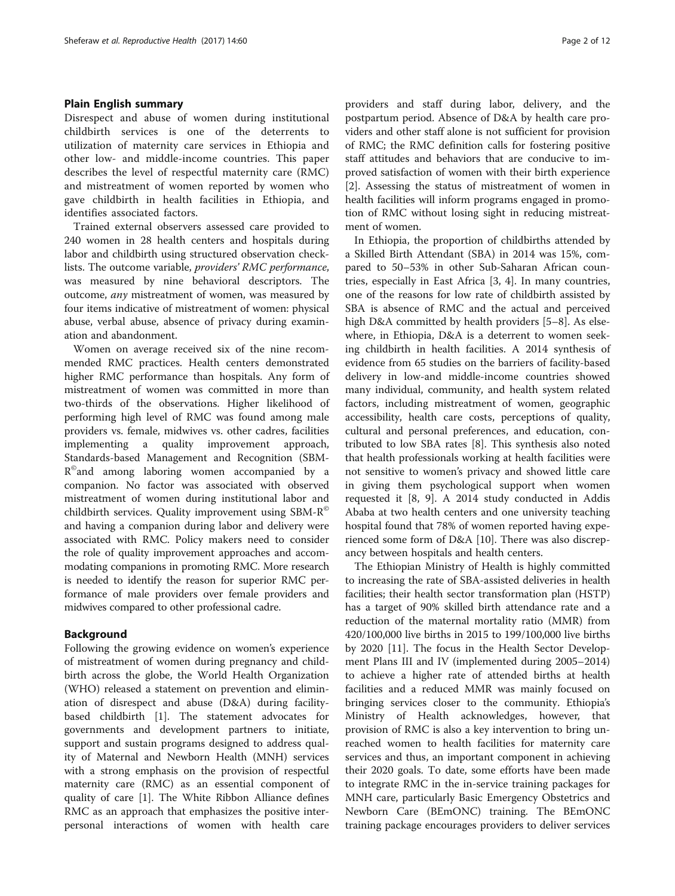# Plain English summary

Disrespect and abuse of women during institutional childbirth services is one of the deterrents to utilization of maternity care services in Ethiopia and other low- and middle-income countries. This paper describes the level of respectful maternity care (RMC) and mistreatment of women reported by women who gave childbirth in health facilities in Ethiopia, and identifies associated factors.

Trained external observers assessed care provided to 240 women in 28 health centers and hospitals during labor and childbirth using structured observation checklists. The outcome variable, providers' RMC performance, was measured by nine behavioral descriptors. The outcome, any mistreatment of women, was measured by four items indicative of mistreatment of women: physical abuse, verbal abuse, absence of privacy during examination and abandonment.

Women on average received six of the nine recommended RMC practices. Health centers demonstrated higher RMC performance than hospitals. Any form of mistreatment of women was committed in more than two-thirds of the observations. Higher likelihood of performing high level of RMC was found among male providers vs. female, midwives vs. other cadres, facilities implementing a quality improvement approach, Standards-based Management and Recognition (SBM- $R^{\circ}$  and among laboring women accompanied by a companion. No factor was associated with observed mistreatment of women during institutional labor and childbirth services. Quality improvement using SBM-R© and having a companion during labor and delivery were associated with RMC. Policy makers need to consider the role of quality improvement approaches and accommodating companions in promoting RMC. More research is needed to identify the reason for superior RMC performance of male providers over female providers and midwives compared to other professional cadre.

# Background

Following the growing evidence on women's experience of mistreatment of women during pregnancy and childbirth across the globe, the World Health Organization (WHO) released a statement on prevention and elimination of disrespect and abuse (D&A) during facilitybased childbirth [[1](#page-10-0)]. The statement advocates for governments and development partners to initiate, support and sustain programs designed to address quality of Maternal and Newborn Health (MNH) services with a strong emphasis on the provision of respectful maternity care (RMC) as an essential component of quality of care [[1](#page-10-0)]. The White Ribbon Alliance defines RMC as an approach that emphasizes the positive interpersonal interactions of women with health care

providers and staff during labor, delivery, and the postpartum period. Absence of D&A by health care providers and other staff alone is not sufficient for provision of RMC; the RMC definition calls for fostering positive staff attitudes and behaviors that are conducive to improved satisfaction of women with their birth experience [[2\]](#page-10-0). Assessing the status of mistreatment of women in health facilities will inform programs engaged in promotion of RMC without losing sight in reducing mistreatment of women.

In Ethiopia, the proportion of childbirths attended by a Skilled Birth Attendant (SBA) in 2014 was 15%, compared to 50–53% in other Sub-Saharan African countries, especially in East Africa [\[3](#page-10-0), [4\]](#page-10-0). In many countries, one of the reasons for low rate of childbirth assisted by SBA is absence of RMC and the actual and perceived high D&A committed by health providers [\[5](#page-10-0)–[8\]](#page-10-0). As elsewhere, in Ethiopia, D&A is a deterrent to women seeking childbirth in health facilities. A 2014 synthesis of evidence from 65 studies on the barriers of facility-based delivery in low-and middle-income countries showed many individual, community, and health system related factors, including mistreatment of women, geographic accessibility, health care costs, perceptions of quality, cultural and personal preferences, and education, contributed to low SBA rates [\[8](#page-10-0)]. This synthesis also noted that health professionals working at health facilities were not sensitive to women's privacy and showed little care in giving them psychological support when women requested it [\[8](#page-10-0), [9](#page-10-0)]. A 2014 study conducted in Addis Ababa at two health centers and one university teaching hospital found that 78% of women reported having experienced some form of D&A [\[10](#page-10-0)]. There was also discrepancy between hospitals and health centers.

The Ethiopian Ministry of Health is highly committed to increasing the rate of SBA-assisted deliveries in health facilities; their health sector transformation plan (HSTP) has a target of 90% skilled birth attendance rate and a reduction of the maternal mortality ratio (MMR) from 420/100,000 live births in 2015 to 199/100,000 live births by 2020 [\[11](#page-10-0)]. The focus in the Health Sector Development Plans III and IV (implemented during 2005–2014) to achieve a higher rate of attended births at health facilities and a reduced MMR was mainly focused on bringing services closer to the community. Ethiopia's Ministry of Health acknowledges, however, that provision of RMC is also a key intervention to bring unreached women to health facilities for maternity care services and thus, an important component in achieving their 2020 goals. To date, some efforts have been made to integrate RMC in the in-service training packages for MNH care, particularly Basic Emergency Obstetrics and Newborn Care (BEmONC) training. The BEmONC training package encourages providers to deliver services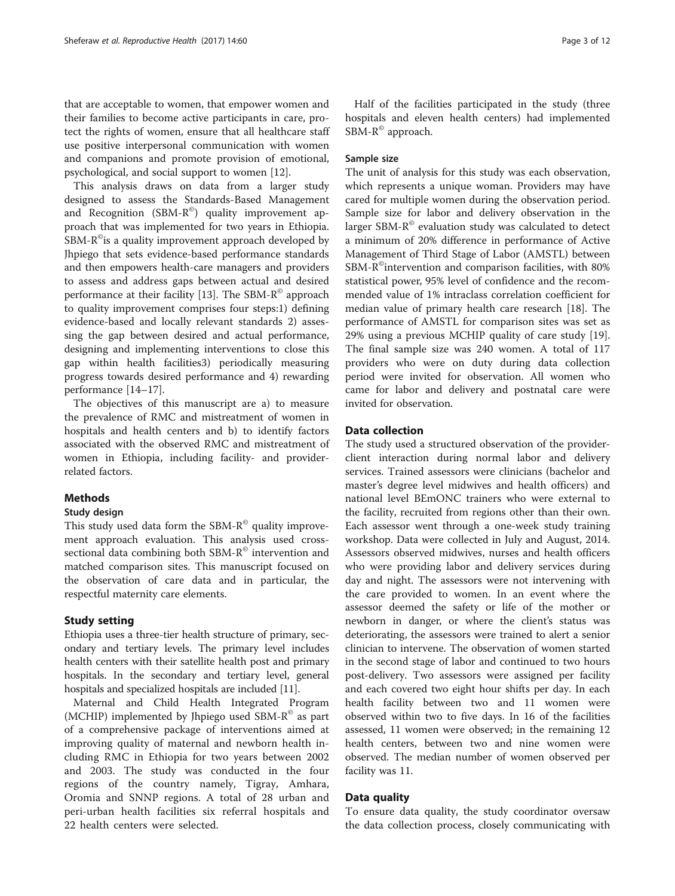that are acceptable to women, that empower women and their families to become active participants in care, protect the rights of women, ensure that all healthcare staff use positive interpersonal communication with women and companions and promote provision of emotional, psychological, and social support to women [[12\]](#page-10-0).

This analysis draws on data from a larger study designed to assess the Standards-Based Management and Recognition (SBM- $R^{\circ}$ ) quality improvement approach that was implemented for two years in Ethiopia. SBM-R<sup>®</sup>is a quality improvement approach developed by Jhpiego that sets evidence-based performance standards and then empowers health-care managers and providers to assess and address gaps between actual and desired performance at their facility [[13\]](#page-10-0). The SBM-R<sup>®</sup> approach to quality improvement comprises four steps:1) defining evidence-based and locally relevant standards 2) assessing the gap between desired and actual performance, designing and implementing interventions to close this gap within health facilities3) periodically measuring progress towards desired performance and 4) rewarding performance [[14](#page-10-0)–[17](#page-10-0)].

The objectives of this manuscript are a) to measure the prevalence of RMC and mistreatment of women in hospitals and health centers and b) to identify factors associated with the observed RMC and mistreatment of women in Ethiopia, including facility- and providerrelated factors.

## Methods

#### Study design

This study used data form the SBM- $R^{\odot}$  quality improvement approach evaluation. This analysis used crosssectional data combining both SBM-R<sup>®</sup> intervention and matched comparison sites. This manuscript focused on the observation of care data and in particular, the respectful maternity care elements.

#### Study setting

Ethiopia uses a three-tier health structure of primary, secondary and tertiary levels. The primary level includes health centers with their satellite health post and primary hospitals. In the secondary and tertiary level, general hospitals and specialized hospitals are included [\[11\]](#page-10-0).

Maternal and Child Health Integrated Program (MCHIP) implemented by Jhpiego used SBM- $R^{\circ}$  as part of a comprehensive package of interventions aimed at improving quality of maternal and newborn health including RMC in Ethiopia for two years between 2002 and 2003. The study was conducted in the four regions of the country namely, Tigray, Amhara, Oromia and SNNP regions. A total of 28 urban and peri-urban health facilities six referral hospitals and 22 health centers were selected.

Half of the facilities participated in the study (three hospitals and eleven health centers) had implemented SBM-R<sup>©</sup> approach.

## Sample size

The unit of analysis for this study was each observation, which represents a unique woman. Providers may have cared for multiple women during the observation period. Sample size for labor and delivery observation in the larger SBM- $R^{\circ}$  evaluation study was calculated to detect a minimum of 20% difference in performance of Active Management of Third Stage of Labor (AMSTL) between SBM-R©intervention and comparison facilities, with 80% statistical power, 95% level of confidence and the recommended value of 1% intraclass correlation coefficient for median value of primary health care research [\[18](#page-10-0)]. The performance of AMSTL for comparison sites was set as 29% using a previous MCHIP quality of care study [\[19](#page-10-0)]. The final sample size was 240 women. A total of 117 providers who were on duty during data collection period were invited for observation. All women who came for labor and delivery and postnatal care were invited for observation.

# Data collection

The study used a structured observation of the providerclient interaction during normal labor and delivery services. Trained assessors were clinicians (bachelor and master's degree level midwives and health officers) and national level BEmONC trainers who were external to the facility, recruited from regions other than their own. Each assessor went through a one-week study training workshop. Data were collected in July and August, 2014. Assessors observed midwives, nurses and health officers who were providing labor and delivery services during day and night. The assessors were not intervening with the care provided to women. In an event where the assessor deemed the safety or life of the mother or newborn in danger, or where the client's status was deteriorating, the assessors were trained to alert a senior clinician to intervene. The observation of women started in the second stage of labor and continued to two hours post-delivery. Two assessors were assigned per facility and each covered two eight hour shifts per day. In each health facility between two and 11 women were observed within two to five days. In 16 of the facilities assessed, 11 women were observed; in the remaining 12 health centers, between two and nine women were observed. The median number of women observed per facility was 11.

### Data quality

To ensure data quality, the study coordinator oversaw the data collection process, closely communicating with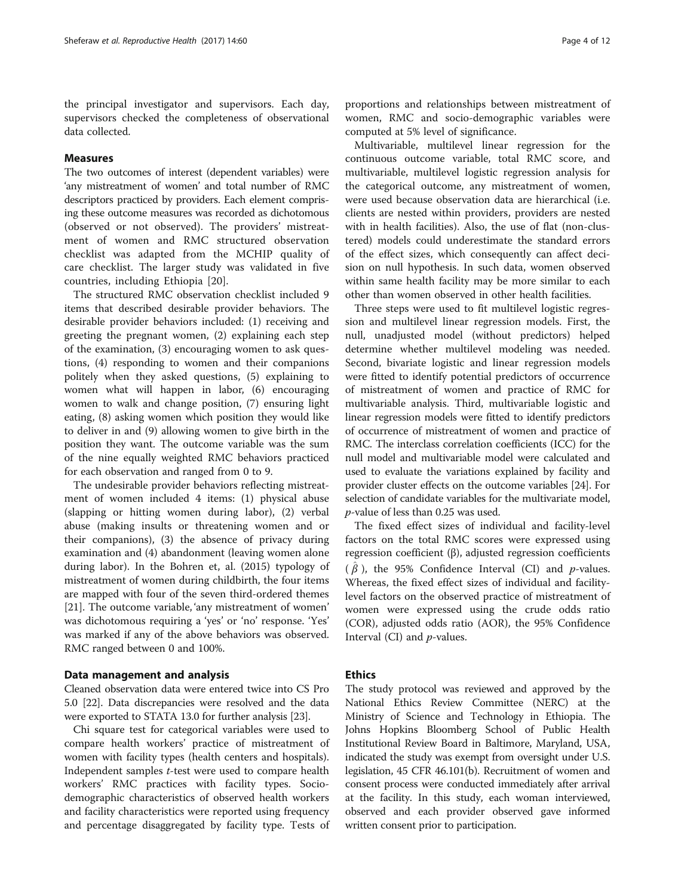the principal investigator and supervisors. Each day, supervisors checked the completeness of observational data collected.

# Measures

The two outcomes of interest (dependent variables) were 'any mistreatment of women' and total number of RMC descriptors practiced by providers. Each element comprising these outcome measures was recorded as dichotomous (observed or not observed). The providers' mistreatment of women and RMC structured observation checklist was adapted from the MCHIP quality of care checklist. The larger study was validated in five countries, including Ethiopia [\[20](#page-10-0)].

The structured RMC observation checklist included 9 items that described desirable provider behaviors. The desirable provider behaviors included: (1) receiving and greeting the pregnant women, (2) explaining each step of the examination, (3) encouraging women to ask questions, (4) responding to women and their companions politely when they asked questions, (5) explaining to women what will happen in labor, (6) encouraging women to walk and change position, (7) ensuring light eating, (8) asking women which position they would like to deliver in and (9) allowing women to give birth in the position they want. The outcome variable was the sum of the nine equally weighted RMC behaviors practiced for each observation and ranged from 0 to 9.

The undesirable provider behaviors reflecting mistreatment of women included 4 items: (1) physical abuse (slapping or hitting women during labor), (2) verbal abuse (making insults or threatening women and or their companions), (3) the absence of privacy during examination and (4) abandonment (leaving women alone during labor). In the Bohren et, al. (2015) typology of mistreatment of women during childbirth, the four items are mapped with four of the seven third-ordered themes [[21\]](#page-10-0). The outcome variable, 'any mistreatment of women' was dichotomous requiring a 'yes' or 'no' response. 'Yes' was marked if any of the above behaviors was observed. RMC ranged between 0 and 100%.

# Data management and analysis

Cleaned observation data were entered twice into CS Pro 5.0 [\[22\]](#page-10-0). Data discrepancies were resolved and the data were exported to STATA 13.0 for further analysis [\[23\]](#page-10-0).

Chi square test for categorical variables were used to compare health workers' practice of mistreatment of women with facility types (health centers and hospitals). Independent samples t-test were used to compare health workers' RMC practices with facility types. Sociodemographic characteristics of observed health workers and facility characteristics were reported using frequency and percentage disaggregated by facility type. Tests of

proportions and relationships between mistreatment of women, RMC and socio-demographic variables were computed at 5% level of significance.

Multivariable, multilevel linear regression for the continuous outcome variable, total RMC score, and multivariable, multilevel logistic regression analysis for the categorical outcome, any mistreatment of women, were used because observation data are hierarchical (i.e. clients are nested within providers, providers are nested with in health facilities). Also, the use of flat (non-clustered) models could underestimate the standard errors of the effect sizes, which consequently can affect decision on null hypothesis. In such data, women observed within same health facility may be more similar to each other than women observed in other health facilities.

Three steps were used to fit multilevel logistic regression and multilevel linear regression models. First, the null, unadjusted model (without predictors) helped determine whether multilevel modeling was needed. Second, bivariate logistic and linear regression models were fitted to identify potential predictors of occurrence of mistreatment of women and practice of RMC for multivariable analysis. Third, multivariable logistic and linear regression models were fitted to identify predictors of occurrence of mistreatment of women and practice of RMC. The interclass correlation coefficients (ICC) for the null model and multivariable model were calculated and used to evaluate the variations explained by facility and provider cluster effects on the outcome variables [\[24\]](#page-10-0). For selection of candidate variables for the multivariate model, p-value of less than 0.25 was used.

The fixed effect sizes of individual and facility-level factors on the total RMC scores were expressed using regression coefficient (β), adjusted regression coefficients  $(\hat{\beta})$ , the 95% Confidence Interval (CI) and p-values. Whereas, the fixed effect sizes of individual and facilitylevel factors on the observed practice of mistreatment of women were expressed using the crude odds ratio (COR), adjusted odds ratio (AOR), the 95% Confidence Interval (CI) and  $p$ -values.

# Ethics

The study protocol was reviewed and approved by the National Ethics Review Committee (NERC) at the Ministry of Science and Technology in Ethiopia. The Johns Hopkins Bloomberg School of Public Health Institutional Review Board in Baltimore, Maryland, USA, indicated the study was exempt from oversight under U.S. legislation, 45 CFR 46.101(b). Recruitment of women and consent process were conducted immediately after arrival at the facility. In this study, each woman interviewed, observed and each provider observed gave informed written consent prior to participation.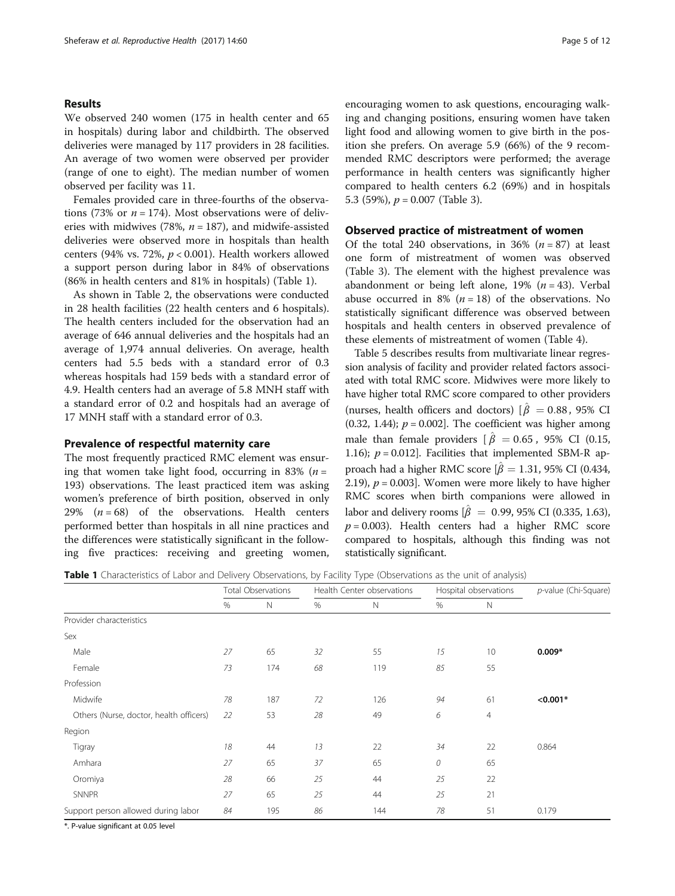## Results

We observed 240 women (175 in health center and 65 in hospitals) during labor and childbirth. The observed deliveries were managed by 117 providers in 28 facilities. An average of two women were observed per provider (range of one to eight). The median number of women observed per facility was 11.

Females provided care in three-fourths of the observations (73% or  $n = 174$ ). Most observations were of deliveries with midwives (78%,  $n = 187$ ), and midwife-assisted deliveries were observed more in hospitals than health centers (94% vs. 72%,  $p < 0.001$ ). Health workers allowed a support person during labor in 84% of observations (86% in health centers and 81% in hospitals) (Table 1).

As shown in Table [2,](#page-5-0) the observations were conducted in 28 health facilities (22 health centers and 6 hospitals). The health centers included for the observation had an average of 646 annual deliveries and the hospitals had an average of 1,974 annual deliveries. On average, health centers had 5.5 beds with a standard error of 0.3 whereas hospitals had 159 beds with a standard error of 4.9. Health centers had an average of 5.8 MNH staff with a standard error of 0.2 and hospitals had an average of 17 MNH staff with a standard error of 0.3.

# Prevalence of respectful maternity care

The most frequently practiced RMC element was ensuring that women take light food, occurring in 83% ( $n =$ 193) observations. The least practiced item was asking women's preference of birth position, observed in only 29%  $(n = 68)$  of the observations. Health centers performed better than hospitals in all nine practices and the differences were statistically significant in the following five practices: receiving and greeting women, encouraging women to ask questions, encouraging walking and changing positions, ensuring women have taken light food and allowing women to give birth in the position she prefers. On average 5.9 (66%) of the 9 recommended RMC descriptors were performed; the average performance in health centers was significantly higher compared to health centers 6.2 (69%) and in hospitals 5.3 (59%),  $p = 0.007$  (Table [3](#page-5-0)).

## Observed practice of mistreatment of women

Of the total 240 observations, in 36%  $(n = 87)$  at least one form of mistreatment of women was observed (Table [3\)](#page-5-0). The element with the highest prevalence was abandonment or being left alone,  $19\%$  ( $n = 43$ ). Verbal abuse occurred in 8% ( $n = 18$ ) of the observations. No statistically significant difference was observed between hospitals and health centers in observed prevalence of these elements of mistreatment of women (Table [4](#page-6-0)).

Table [5](#page-6-0) describes results from multivariate linear regression analysis of facility and provider related factors associated with total RMC score. Midwives were more likely to have higher total RMC score compared to other providers (nurses, health officers and doctors)  $\hat{\beta} = 0.88$ , 95% CI  $(0.32, 1.44)$ ;  $p = 0.002$ . The coefficient was higher among male than female providers  $\left[\hat{\beta} \right] = 0.65$ , 95% CI (0.15, 1.16);  $p = 0.012$ . Facilities that implemented SBM-R approach had a higher RMC score  $[\hat{\beta} = 1.31, 95\%$  CI (0.434, 2.19),  $p = 0.003$ . Women were more likely to have higher RMC scores when birth companions were allowed in labor and delivery rooms  $\hat{\beta} = 0.99, 95\%$  CI (0.335, 1.63),  $p = 0.003$ ). Health centers had a higher RMC score compared to hospitals, although this finding was not statistically significant.

Table 1 Characteristics of Labor and Delivery Observations, by Facility Type (Observations as the unit of analysis)

|                                         | <b>Total Observations</b> |             | Health Center observations |     | Hospital observations |                | p-value (Chi-Square) |
|-----------------------------------------|---------------------------|-------------|----------------------------|-----|-----------------------|----------------|----------------------|
|                                         | %                         | $\mathbb N$ | %                          | N   | %                     | $\mathbb N$    |                      |
| Provider characteristics                |                           |             |                            |     |                       |                |                      |
| Sex                                     |                           |             |                            |     |                       |                |                      |
| Male                                    | 27                        | 65          | 32                         | 55  | 15                    | 10             | $0.009*$             |
| Female                                  | 73                        | 174         | 68                         | 119 | 85                    | 55             |                      |
| Profession                              |                           |             |                            |     |                       |                |                      |
| Midwife                                 | 78                        | 187         | 72                         | 126 | 94                    | 61             | $< 0.001*$           |
| Others (Nurse, doctor, health officers) | 22                        | 53          | 28                         | 49  | 6                     | $\overline{4}$ |                      |
| Region                                  |                           |             |                            |     |                       |                |                      |
| Tigray                                  | 18                        | 44          | 13                         | 22  | 34                    | 22             | 0.864                |
| Amhara                                  | 27                        | 65          | 37                         | 65  | 0                     | 65             |                      |
| Oromiya                                 | 28                        | 66          | 25                         | 44  | 25                    | 22             |                      |
| <b>SNNPR</b>                            | 27                        | 65          | 25                         | 44  | 25                    | 21             |                      |
| Support person allowed during labor     | 84                        | 195         | 86                         | 144 | 78                    | 51             | 0.179                |

\*. P-value significant at 0.05 level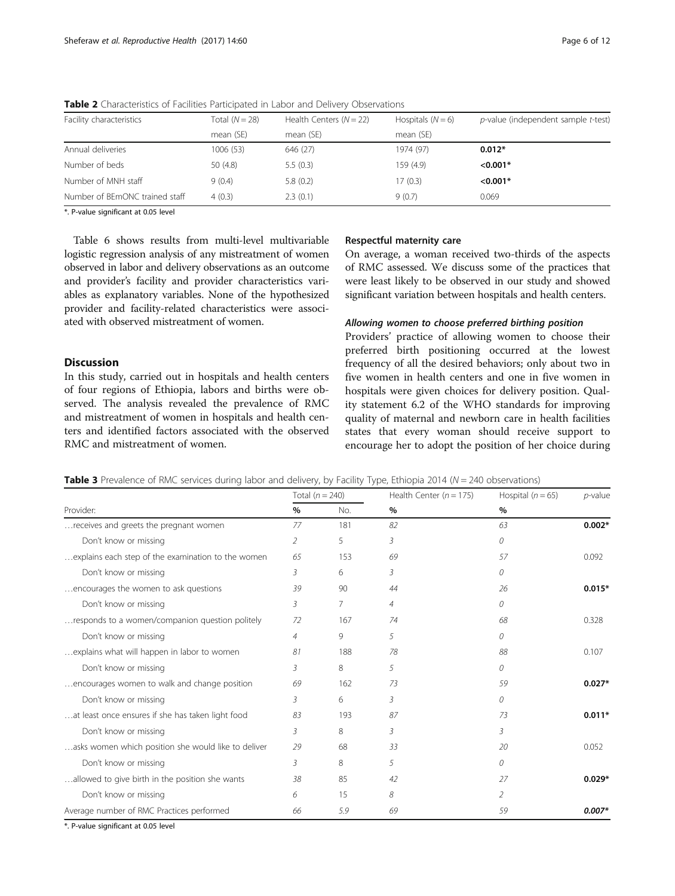| Facility characteristics       | Total $(N=28)$ | Health Centers $(N = 22)$ | Hospitals $(N = 6)$ | p-value (independent sample t-test) |  |
|--------------------------------|----------------|---------------------------|---------------------|-------------------------------------|--|
|                                | mean (SE)      | mean (SE)                 | mean (SE)           |                                     |  |
| Annual deliveries              | 1006 (53)      | 646 (27)                  | 1974 (97)           | $0.012*$                            |  |
| Number of beds                 | 50 (4.8)       | 5.5(0.3)                  | 159(4.9)            | $< 0.001*$                          |  |
| Number of MNH staff            | 9(0.4)         | 5.8(0.2)                  | 17(0.3)             | $< 0.001*$                          |  |
| Number of BEmONC trained staff | 4(0.3)         | 2.3(0.1)                  | 9(0.7)              | 0.069                               |  |

<span id="page-5-0"></span>**Table 2** Characteristics of Facilities Participated in Labor and Delivery Observations

\*. P-value significant at 0.05 level

Table [6](#page-7-0) shows results from multi-level multivariable logistic regression analysis of any mistreatment of women observed in labor and delivery observations as an outcome and provider's facility and provider characteristics variables as explanatory variables. None of the hypothesized provider and facility-related characteristics were associated with observed mistreatment of women.

# Discussion

In this study, carried out in hospitals and health centers of four regions of Ethiopia, labors and births were observed. The analysis revealed the prevalence of RMC and mistreatment of women in hospitals and health centers and identified factors associated with the observed RMC and mistreatment of women.

# Respectful maternity care

On average, a woman received two-thirds of the aspects of RMC assessed. We discuss some of the practices that were least likely to be observed in our study and showed significant variation between hospitals and health centers.

#### Allowing women to choose preferred birthing position

Providers' practice of allowing women to choose their preferred birth positioning occurred at the lowest frequency of all the desired behaviors; only about two in five women in health centers and one in five women in hospitals were given choices for delivery position. Quality statement 6.2 of the WHO standards for improving quality of maternal and newborn care in health facilities states that every woman should receive support to encourage her to adopt the position of her choice during

|                                                     |    | Total $(n = 240)$ | Health Center ( $n = 175$ ) | Hospital $(n = 65)$ | $p$ -value |
|-----------------------------------------------------|----|-------------------|-----------------------------|---------------------|------------|
| Provider:                                           | %  | No.               | $\%$                        | %                   |            |
| receives and greets the pregnant women              | 77 | 181               | 82                          | 63                  | $0.002*$   |
| Don't know or missing                               | 2  | 5                 | 3                           | 0                   |            |
| explains each step of the examination to the women  | 65 | 153               | 69                          | 57                  | 0.092      |
| Don't know or missing                               | 3  | 6                 | 3                           | 0                   |            |
| encourages the women to ask questions               | 39 | 90                | 44                          | 26                  | $0.015*$   |
| Don't know or missing                               | 3  | 7                 | $\overline{4}$              | $\Omega$            |            |
| responds to a women/companion question politely     | 72 | 167               | 74                          | 68                  | 0.328      |
| Don't know or missing                               | 4  | 9                 | 5.                          | 0                   |            |
| explains what will happen in labor to women         | 81 | 188               | 78                          | 88                  | 0.107      |
| Don't know or missing                               | 3  | 8                 | 5                           | 0                   |            |
| encourages women to walk and change position        | 69 | 162               | 73                          | 59                  | $0.027*$   |
| Don't know or missing                               | 3  | 6                 | 3                           | 0                   |            |
| at least once ensures if she has taken light food   | 83 | 193               | 87                          | 73                  | $0.011*$   |
| Don't know or missing                               | 3  | 8                 | 3                           | 3                   |            |
| asks women which position she would like to deliver | 29 | 68                | 33                          | 20                  | 0.052      |
| Don't know or missing                               | 3  | 8                 | 5                           | 0                   |            |
| allowed to give birth in the position she wants     | 38 | 85                | 42                          | 27                  | $0.029*$   |
| Don't know or missing                               | 6  | 15                | 8                           | 2                   |            |
| Average number of RMC Practices performed           | 66 | 5.9               | 69                          | 59                  | $0.007*$   |

**Table 3** Prevalence of RMC services during labor and delivery, by Facility Type, Ethiopia 2014 ( $N = 240$  observations)

\*. P-value significant at 0.05 level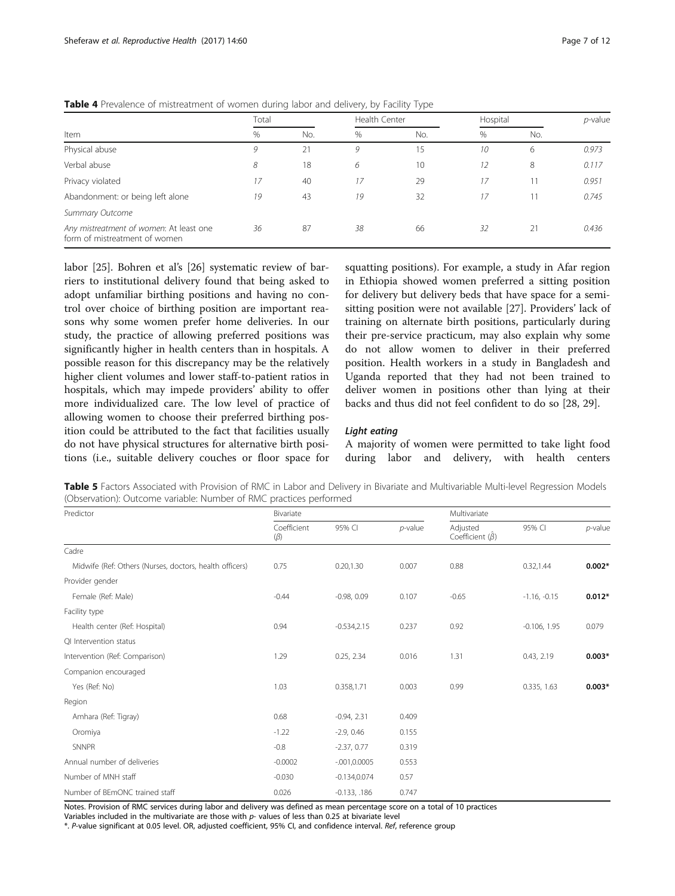|                                                                          |       | $\tilde{}$ | , , ,<br>$\sqrt{2}$ |               |    |          |       |
|--------------------------------------------------------------------------|-------|------------|---------------------|---------------|----|----------|-------|
| Item                                                                     | Total |            |                     | Health Center |    | Hospital |       |
|                                                                          | %     | No.        | $\%$                | No.           | %  | No.      |       |
| Physical abuse                                                           | 9     | 21         | 9                   | 15            | 10 | 6        | 0.973 |
| Verbal abuse                                                             | 8     | 18         | 6                   | 10            | 12 | 8        | 0.117 |
| Privacy violated                                                         | 17    | 40         | 17                  | 29            | 17 |          | 0.951 |
| Abandonment: or being left alone                                         | 19    | 43         | 19                  | 32            | 17 |          | 0.745 |
| Summary Outcome                                                          |       |            |                     |               |    |          |       |
| Any mistreatment of women: At least one<br>form of mistreatment of women | 36    | 87         | 38                  | 66            | 32 | 21       | 0.436 |

<span id="page-6-0"></span>Table 4 Prevalence of mistreatment of women during labor and delivery, by Facility Type

labor [[25\]](#page-10-0). Bohren et al's [\[26](#page-10-0)] systematic review of barriers to institutional delivery found that being asked to adopt unfamiliar birthing positions and having no control over choice of birthing position are important reasons why some women prefer home deliveries. In our study, the practice of allowing preferred positions was significantly higher in health centers than in hospitals. A possible reason for this discrepancy may be the relatively higher client volumes and lower staff-to-patient ratios in hospitals, which may impede providers' ability to offer more individualized care. The low level of practice of allowing women to choose their preferred birthing position could be attributed to the fact that facilities usually do not have physical structures for alternative birth positions (i.e., suitable delivery couches or floor space for

squatting positions). For example, a study in Afar region in Ethiopia showed women preferred a sitting position for delivery but delivery beds that have space for a semisitting position were not available [[27](#page-10-0)]. Providers' lack of training on alternate birth positions, particularly during their pre-service practicum, may also explain why some do not allow women to deliver in their preferred position. Health workers in a study in Bangladesh and Uganda reported that they had not been trained to deliver women in positions other than lying at their backs and thus did not feel confident to do so [[28](#page-10-0), [29](#page-10-0)].

#### Light eating

A majority of women were permitted to take light food during labor and delivery, with health centers

Table 5 Factors Associated with Provision of RMC in Labor and Delivery in Bivariate and Multivariable Multi-level Regression Models (Observation): Outcome variable: Number of RMC practices performed

| Predictor                                               | Bivariate                |                 | Multivariate |                                   |                |            |
|---------------------------------------------------------|--------------------------|-----------------|--------------|-----------------------------------|----------------|------------|
|                                                         | Coefficient<br>$(\beta)$ | 95% CI          | $p$ -value   | Adjusted<br>Coefficient $(\beta)$ | 95% CI         | $p$ -value |
| Cadre                                                   |                          |                 |              |                                   |                |            |
| Midwife (Ref: Others (Nurses, doctors, health officers) | 0.75                     | 0.20, 1.30      | 0.007        | 0.88                              | 0.32,1.44      | $0.002*$   |
| Provider gender                                         |                          |                 |              |                                   |                |            |
| Female (Ref: Male)                                      | $-0.44$                  | $-0.98, 0.09$   | 0.107        | $-0.65$                           | $-1.16, -0.15$ | $0.012*$   |
| Facility type                                           |                          |                 |              |                                   |                |            |
| Health center (Ref: Hospital)                           | 0.94                     | $-0.534,2.15$   | 0.237        | 0.92                              | $-0.106, 1.95$ | 0.079      |
| QI Intervention status                                  |                          |                 |              |                                   |                |            |
| Intervention (Ref: Comparison)                          | 1.29                     | 0.25, 2.34      | 0.016        | 1.31                              | 0.43, 2.19     | $0.003*$   |
| Companion encouraged                                    |                          |                 |              |                                   |                |            |
| Yes (Ref: No)                                           | 1.03                     | 0.358,1.71      | 0.003        | 0.99                              | 0.335, 1.63    | $0.003*$   |
| Region                                                  |                          |                 |              |                                   |                |            |
| Amhara (Ref: Tigray)                                    | 0.68                     | $-0.94, 2.31$   | 0.409        |                                   |                |            |
| Oromiya                                                 | $-1.22$                  | $-2.9, 0.46$    | 0.155        |                                   |                |            |
| <b>SNNPR</b>                                            | $-0.8$                   | $-2.37, 0.77$   | 0.319        |                                   |                |            |
| Annual number of deliveries                             | $-0.0002$                | $-.001,0.0005$  | 0.553        |                                   |                |            |
| Number of MNH staff                                     | $-0.030$                 | $-0.134, 0.074$ | 0.57         |                                   |                |            |
| Number of BEmONC trained staff                          | 0.026                    | $-0.133, .186$  | 0.747        |                                   |                |            |

Notes. Provision of RMC services during labor and delivery was defined as mean percentage score on a total of 10 practices

Variables included in the multivariate are those with p- values of less than 0.25 at bivariate level

\*. P-value significant at 0.05 level. OR, adjusted coefficient, 95% CI, and confidence interval. Ref, reference group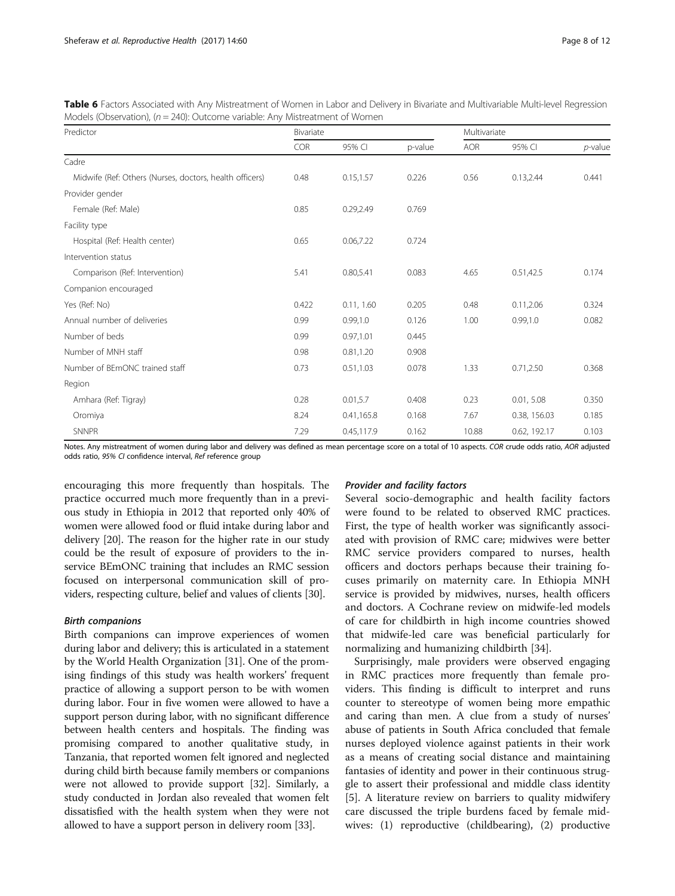| Predictor                                               | Bivariate |            |         |            | Multivariate |            |  |
|---------------------------------------------------------|-----------|------------|---------|------------|--------------|------------|--|
|                                                         | COR       | 95% CI     | p-value | <b>AOR</b> | 95% CI       | $p$ -value |  |
| Cadre                                                   |           |            |         |            |              |            |  |
| Midwife (Ref: Others (Nurses, doctors, health officers) | 0.48      | 0.15, 1.57 | 0.226   | 0.56       | 0.13,2.44    | 0.441      |  |
| Provider gender                                         |           |            |         |            |              |            |  |
| Female (Ref: Male)                                      | 0.85      | 0.29,2.49  | 0.769   |            |              |            |  |
| Facility type                                           |           |            |         |            |              |            |  |
| Hospital (Ref: Health center)                           | 0.65      | 0.06,7.22  | 0.724   |            |              |            |  |
| Intervention status                                     |           |            |         |            |              |            |  |
| Comparison (Ref: Intervention)                          | 5.41      | 0.80,5.41  | 0.083   | 4.65       | 0.51,42.5    | 0.174      |  |
| Companion encouraged                                    |           |            |         |            |              |            |  |
| Yes (Ref: No)                                           | 0.422     | 0.11, 1.60 | 0.205   | 0.48       | 0.11, 2.06   | 0.324      |  |
| Annual number of deliveries                             | 0.99      | 0.99, 1.0  | 0.126   | 1.00       | 0.99, 1.0    | 0.082      |  |
| Number of beds                                          | 0.99      | 0.97,1.01  | 0.445   |            |              |            |  |
| Number of MNH staff                                     | 0.98      | 0.81,1.20  | 0.908   |            |              |            |  |
| Number of BEmONC trained staff                          | 0.73      | 0.51, 1.03 | 0.078   | 1.33       | 0.71, 2.50   | 0.368      |  |
| Region                                                  |           |            |         |            |              |            |  |
| Amhara (Ref: Tigray)                                    | 0.28      | 0.01, 5.7  | 0.408   | 0.23       | 0.01, 5.08   | 0.350      |  |
| Oromiya                                                 | 8.24      | 0.41,165.8 | 0.168   | 7.67       | 0.38, 156.03 | 0.185      |  |
| <b>SNNPR</b>                                            | 7.29      | 0.45,117.9 | 0.162   | 10.88      | 0.62, 192.17 | 0.103      |  |

<span id="page-7-0"></span>Table 6 Factors Associated with Any Mistreatment of Women in Labor and Delivery in Bivariate and Multivariable Multi-level Regression Models (Observation), ( $n = 240$ ): Outcome variable: Any Mistreatment of Women

Notes. Any mistreatment of women during labor and delivery was defined as mean percentage score on a total of 10 aspects. COR crude odds ratio, AOR adjusted odds ratio, 95% CI confidence interval, Ref reference group

encouraging this more frequently than hospitals. The practice occurred much more frequently than in a previous study in Ethiopia in 2012 that reported only 40% of women were allowed food or fluid intake during labor and delivery [\[20\]](#page-10-0). The reason for the higher rate in our study could be the result of exposure of providers to the inservice BEmONC training that includes an RMC session focused on interpersonal communication skill of providers, respecting culture, belief and values of clients [\[30\]](#page-10-0).

## Birth companions

Birth companions can improve experiences of women during labor and delivery; this is articulated in a statement by the World Health Organization [\[31\]](#page-10-0). One of the promising findings of this study was health workers' frequent practice of allowing a support person to be with women during labor. Four in five women were allowed to have a support person during labor, with no significant difference between health centers and hospitals. The finding was promising compared to another qualitative study, in Tanzania, that reported women felt ignored and neglected during child birth because family members or companions were not allowed to provide support [[32](#page-10-0)]. Similarly, a study conducted in Jordan also revealed that women felt dissatisfied with the health system when they were not allowed to have a support person in delivery room [\[33\]](#page-10-0).

## Provider and facility factors

Several socio-demographic and health facility factors were found to be related to observed RMC practices. First, the type of health worker was significantly associated with provision of RMC care; midwives were better RMC service providers compared to nurses, health officers and doctors perhaps because their training focuses primarily on maternity care. In Ethiopia MNH service is provided by midwives, nurses, health officers and doctors. A Cochrane review on midwife-led models of care for childbirth in high income countries showed that midwife-led care was beneficial particularly for normalizing and humanizing childbirth [[34](#page-10-0)].

Surprisingly, male providers were observed engaging in RMC practices more frequently than female providers. This finding is difficult to interpret and runs counter to stereotype of women being more empathic and caring than men. A clue from a study of nurses' abuse of patients in South Africa concluded that female nurses deployed violence against patients in their work as a means of creating social distance and maintaining fantasies of identity and power in their continuous struggle to assert their professional and middle class identity [[5\]](#page-10-0). A literature review on barriers to quality midwifery care discussed the triple burdens faced by female midwives: (1) reproductive (childbearing), (2) productive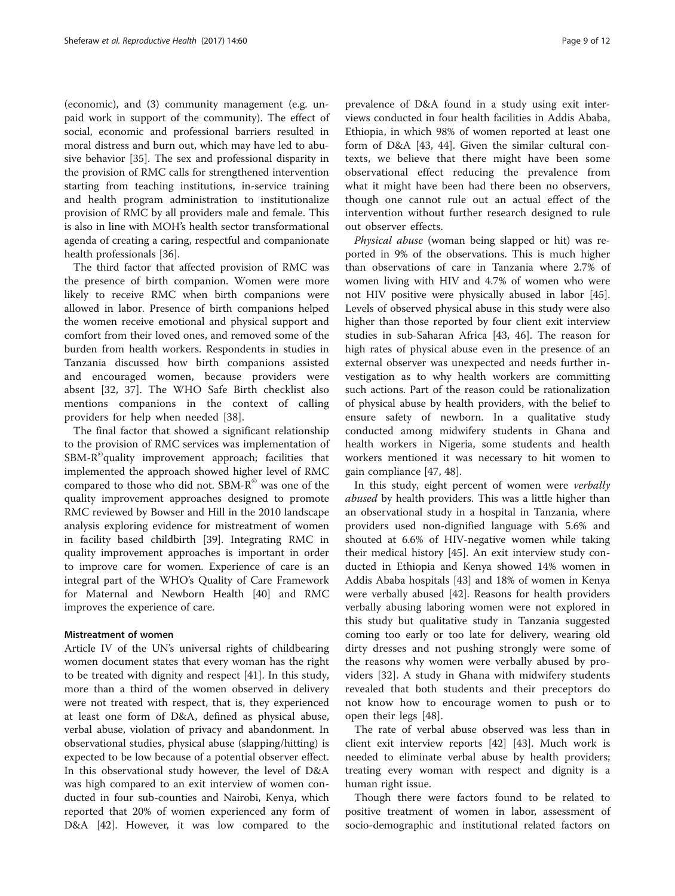(economic), and (3) community management (e.g. unpaid work in support of the community). The effect of social, economic and professional barriers resulted in moral distress and burn out, which may have led to abusive behavior [\[35](#page-10-0)]. The sex and professional disparity in the provision of RMC calls for strengthened intervention starting from teaching institutions, in-service training and health program administration to institutionalize provision of RMC by all providers male and female. This is also in line with MOH's health sector transformational agenda of creating a caring, respectful and companionate health professionals [[36](#page-10-0)].

The third factor that affected provision of RMC was the presence of birth companion. Women were more likely to receive RMC when birth companions were allowed in labor. Presence of birth companions helped the women receive emotional and physical support and comfort from their loved ones, and removed some of the burden from health workers. Respondents in studies in Tanzania discussed how birth companions assisted and encouraged women, because providers were absent [\[32](#page-10-0), [37\]](#page-10-0). The WHO Safe Birth checklist also mentions companions in the context of calling providers for help when needed [\[38](#page-10-0)].

The final factor that showed a significant relationship to the provision of RMC services was implementation of  $SBM-R<sup>°</sup>$ quality improvement approach; facilities that implemented the approach showed higher level of RMC compared to those who did not. SBM-R<sup>®</sup> was one of the quality improvement approaches designed to promote RMC reviewed by Bowser and Hill in the 2010 landscape analysis exploring evidence for mistreatment of women in facility based childbirth [\[39\]](#page-10-0). Integrating RMC in quality improvement approaches is important in order to improve care for women. Experience of care is an integral part of the WHO's Quality of Care Framework for Maternal and Newborn Health [[40\]](#page-10-0) and RMC improves the experience of care.

#### Mistreatment of women

Article IV of the UN's universal rights of childbearing women document states that every woman has the right to be treated with dignity and respect [\[41](#page-10-0)]. In this study, more than a third of the women observed in delivery were not treated with respect, that is, they experienced at least one form of D&A, defined as physical abuse, verbal abuse, violation of privacy and abandonment. In observational studies, physical abuse (slapping/hitting) is expected to be low because of a potential observer effect. In this observational study however, the level of D&A was high compared to an exit interview of women conducted in four sub-counties and Nairobi, Kenya, which reported that 20% of women experienced any form of D&A [\[42](#page-10-0)]. However, it was low compared to the

prevalence of D&A found in a study using exit interviews conducted in four health facilities in Addis Ababa, Ethiopia, in which 98% of women reported at least one form of D&A [\[43](#page-11-0), [44](#page-11-0)]. Given the similar cultural contexts, we believe that there might have been some observational effect reducing the prevalence from what it might have been had there been no observers, though one cannot rule out an actual effect of the intervention without further research designed to rule out observer effects.

Physical abuse (woman being slapped or hit) was reported in 9% of the observations. This is much higher than observations of care in Tanzania where 2.7% of women living with HIV and 4.7% of women who were not HIV positive were physically abused in labor [\[45](#page-11-0)]. Levels of observed physical abuse in this study were also higher than those reported by four client exit interview studies in sub-Saharan Africa [[43, 46](#page-11-0)]. The reason for high rates of physical abuse even in the presence of an external observer was unexpected and needs further investigation as to why health workers are committing such actions. Part of the reason could be rationalization of physical abuse by health providers, with the belief to ensure safety of newborn. In a qualitative study conducted among midwifery students in Ghana and health workers in Nigeria, some students and health workers mentioned it was necessary to hit women to gain compliance [\[47](#page-11-0), [48](#page-11-0)].

In this study, eight percent of women were verbally abused by health providers. This was a little higher than an observational study in a hospital in Tanzania, where providers used non-dignified language with 5.6% and shouted at 6.6% of HIV-negative women while taking their medical history [\[45](#page-11-0)]. An exit interview study conducted in Ethiopia and Kenya showed 14% women in Addis Ababa hospitals [\[43](#page-11-0)] and 18% of women in Kenya were verbally abused [\[42](#page-10-0)]. Reasons for health providers verbally abusing laboring women were not explored in this study but qualitative study in Tanzania suggested coming too early or too late for delivery, wearing old dirty dresses and not pushing strongly were some of the reasons why women were verbally abused by providers [[32\]](#page-10-0). A study in Ghana with midwifery students revealed that both students and their preceptors do not know how to encourage women to push or to open their legs [[48\]](#page-11-0).

The rate of verbal abuse observed was less than in client exit interview reports [\[42](#page-10-0)] [[43\]](#page-11-0). Much work is needed to eliminate verbal abuse by health providers; treating every woman with respect and dignity is a human right issue.

Though there were factors found to be related to positive treatment of women in labor, assessment of socio-demographic and institutional related factors on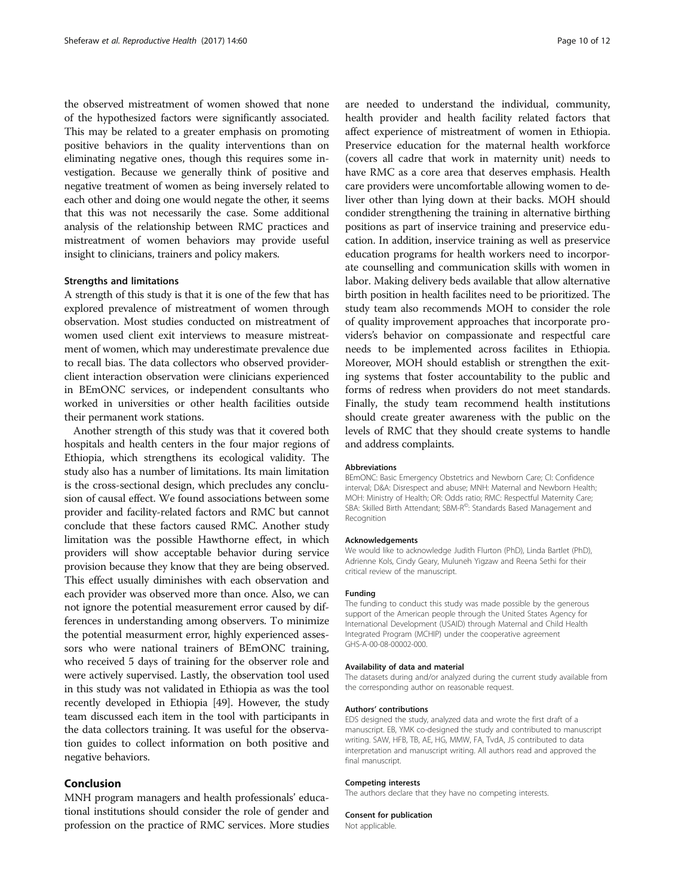the observed mistreatment of women showed that none of the hypothesized factors were significantly associated. This may be related to a greater emphasis on promoting positive behaviors in the quality interventions than on eliminating negative ones, though this requires some investigation. Because we generally think of positive and negative treatment of women as being inversely related to each other and doing one would negate the other, it seems that this was not necessarily the case. Some additional analysis of the relationship between RMC practices and mistreatment of women behaviors may provide useful insight to clinicians, trainers and policy makers.

#### Strengths and limitations

A strength of this study is that it is one of the few that has explored prevalence of mistreatment of women through observation. Most studies conducted on mistreatment of women used client exit interviews to measure mistreatment of women, which may underestimate prevalence due to recall bias. The data collectors who observed providerclient interaction observation were clinicians experienced in BEmONC services, or independent consultants who worked in universities or other health facilities outside their permanent work stations.

Another strength of this study was that it covered both hospitals and health centers in the four major regions of Ethiopia, which strengthens its ecological validity. The study also has a number of limitations. Its main limitation is the cross-sectional design, which precludes any conclusion of causal effect. We found associations between some provider and facility-related factors and RMC but cannot conclude that these factors caused RMC. Another study limitation was the possible Hawthorne effect, in which providers will show acceptable behavior during service provision because they know that they are being observed. This effect usually diminishes with each observation and each provider was observed more than once. Also, we can not ignore the potential measurement error caused by differences in understanding among observers. To minimize the potential measurment error, highly experienced assessors who were national trainers of BEmONC training, who received 5 days of training for the observer role and were actively supervised. Lastly, the observation tool used in this study was not validated in Ethiopia as was the tool recently developed in Ethiopia [[49](#page-11-0)]. However, the study team discussed each item in the tool with participants in the data collectors training. It was useful for the observation guides to collect information on both positive and negative behaviors.

### Conclusion

MNH program managers and health professionals' educational institutions should consider the role of gender and profession on the practice of RMC services. More studies are needed to understand the individual, community, health provider and health facility related factors that affect experience of mistreatment of women in Ethiopia. Preservice education for the maternal health workforce (covers all cadre that work in maternity unit) needs to have RMC as a core area that deserves emphasis. Health care providers were uncomfortable allowing women to deliver other than lying down at their backs. MOH should condider strengthening the training in alternative birthing positions as part of inservice training and preservice education. In addition, inservice training as well as preservice education programs for health workers need to incorporate counselling and communication skills with women in labor. Making delivery beds available that allow alternative birth position in health facilites need to be prioritized. The study team also recommends MOH to consider the role of quality improvement approaches that incorporate providers's behavior on compassionate and respectful care needs to be implemented across facilites in Ethiopia. Moreover, MOH should establish or strengthen the exiting systems that foster accountability to the public and forms of redress when providers do not meet standards. Finally, the study team recommend health institutions should create greater awareness with the public on the levels of RMC that they should create systems to handle and address complaints.

#### Abbreviations

BEmONC: Basic Emergency Obstetrics and Newborn Care; CI: Confidence interval; D&A: Disrespect and abuse; MNH: Maternal and Newborn Health; MOH: Ministry of Health; OR: Odds ratio; RMC: Respectful Maternity Care; SBA: Skilled Birth Attendant; SBM-R<sup>©</sup>: Standards Based Management and Recognition

#### Acknowledgements

We would like to acknowledge Judith Flurton (PhD), Linda Bartlet (PhD), Adrienne Kols, Cindy Geary, Muluneh Yigzaw and Reena Sethi for their critical review of the manuscript.

#### Funding

The funding to conduct this study was made possible by the generous support of the American people through the United States Agency for International Development (USAID) through Maternal and Child Health Integrated Program (MCHIP) under the cooperative agreement GHS-A-00-08-00002-000.

#### Availability of data and material

The datasets during and/or analyzed during the current study available from the corresponding author on reasonable request.

#### Authors' contributions

EDS designed the study, analyzed data and wrote the first draft of a manuscript. EB, YMK co-designed the study and contributed to manuscript writing. SAW, HFB, TB, AE, HG, MMW, FA, TvdA, JS contributed to data interpretation and manuscript writing. All authors read and approved the final manuscript.

#### Competing interests

The authors declare that they have no competing interests.

#### Consent for publication

Not applicable.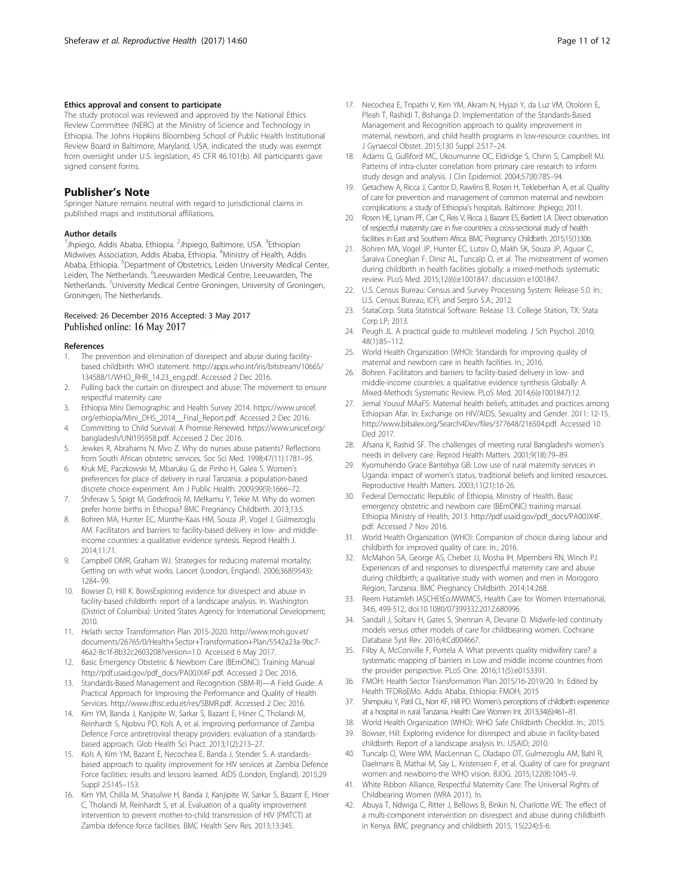#### <span id="page-10-0"></span>Ethics approval and consent to participate

The study protocol was reviewed and approved by the National Ethics Review Committee (NERC) at the Ministry of Science and Technology in Ethiopia. The Johns Hopkins Bloomberg School of Public Health Institutional Review Board in Baltimore, Maryland, USA, indicated the study was exempt from oversight under U.S. legislation, 45 CFR 46.101(b). All participants gave signed consent forms.

#### Publisher's Note

Springer Nature remains neutral with regard to jurisdictional claims in published maps and institutional affiliations.

#### Author details

<sup>1</sup>Jhpiego, Addis Ababa, Ethiopia. <sup>2</sup>Jhpiego, Baltimore, USA. <sup>3</sup>Ethiopian Midwives Association, Addis Ababa, Ethiopia. <sup>4</sup>Ministry of Health, Addis Ababa, Ethiopia. <sup>5</sup>Department of Obstetrics, Leiden University Medical Center, Leiden, The Netherlands. <sup>6</sup>Leeuwarden Medical Centre, Leeuwarden, The Netherlands. <sup>7</sup>University Medical Centre Groningen, University of Groningen, Groningen, The Netherlands.

#### Received: 26 December 2016 Accepted: 3 May 2017 Published online: 16 May 2017

#### References

- The prevention and elimination of disrespect and abuse during facilitybased childbirth: WHO statement. [http://apps.who.int/iris/bitstream/10665/](http://apps.who.int/iris/bitstream/10665/134588/1/WHO_RHR_14.23_eng.pdf) [134588/1/WHO\\_RHR\\_14.23\\_eng.pdf](http://apps.who.int/iris/bitstream/10665/134588/1/WHO_RHR_14.23_eng.pdf). Accessed 2 Dec 2016.
- Pulling back the curtain on disrespect and abuse: The movement to ensure respectful maternity care
- 3. Ethiopia Mini Demographic and Health Survey 2014. [https://www.unicef.](https://www.unicef.org/ethiopia/Mini_DHS_2014__Final_Report.pdf) [org/ethiopia/Mini\\_DHS\\_2014\\_\\_Final\\_Report.pdf](https://www.unicef.org/ethiopia/Mini_DHS_2014__Final_Report.pdf). Accessed 2 Dec 2016.
- 4. Committing to Child Survival: A Promise Renewed. [https://www.unicef.org/](https://www.unicef.org/bangladesh/UNI195958.pdf) [bangladesh/UNI195958.pdf.](https://www.unicef.org/bangladesh/UNI195958.pdf) Accessed 2 Dec 2016.
- Jewkes R, Abrahams N, Mvo Z. Why do nurses abuse patients? Reflections from South African obstetric services. Soc Sci Med. 1998;47(11):1781–95.
- 6. Kruk ME, Paczkowski M, Mbaruku G, de Pinho H, Galea S. Women's preferences for place of delivery in rural Tanzania: a population-based discrete choice experiment. Am J Public Health. 2009;99(9):1666–72.
- 7. Shiferaw S, Spigt M, Godefrooij M, Melkamu Y, Tekie M. Why do women prefer home births in Ethiopia? BMC Pregnancy Childbirth. 2013;13:5.
- 8. Bohren MA, Hunter EC, Munthe-Kaas HM, Souza JP, Vogel J, Gülmezoglu AM. Facilitators and barriers to facility-based delivery in low- and middleincome countries: a qualitative evidence syntesis. Reprod Health J. 2014;11:71.
- 9. Campbell OMR, Graham WJ. Strategies for reducing maternal mortality: Getting on with what works. Lancet (London, England). 2006;368(9543): 1284–99.
- 10. Bowser D, Hill K. BowsExploring evidence for disrespect and abuse in facility-based childbirth: report of a landscape analysis. In. Washington (District of Columbia): United States Agency for International Development; 2010.
- 11. Helath sector Transformation Plan 2015-2020. [http://www.moh.gov.et/](http://www.moh.gov.et/documents/26765/0/Health+Sector+Transformation+Plan/5542a23a-9bc7-46a2-8c1f-8b32c2603208?version=1.0) [documents/26765/0/Health+Sector+Transformation+Plan/5542a23a-9bc7-](http://www.moh.gov.et/documents/26765/0/Health+Sector+Transformation+Plan/5542a23a-9bc7-46a2-8c1f-8b32c2603208?version=1.0) [46a2-8c1f-8b32c2603208?version=1.0](http://www.moh.gov.et/documents/26765/0/Health+Sector+Transformation+Plan/5542a23a-9bc7-46a2-8c1f-8b32c2603208?version=1.0). Accessed 6 May 2017.
- 12. Basic Emergency Obstetric & Newborn Care (BEmONC). Training Manual [http://pdf.usaid.gov/pdf\\_docs/PA00JX4F.pdf.](http://pdf.usaid.gov/pdf_docs/PA00JX4F.pdf) Accessed 2 Dec 2016.
- 13. Standards-Based Management and Recognition (SBM-R)—A Field Guide: A Practical Approach for Improving the Performance and Quality of Health Services. [http://www.dhsc.edu.et/res/SBMR.pdf.](http://www.dhsc.edu.et/res/SBMR.pdf) Accessed 2 Dec 2016.
- 14. Kim YM, Banda J, Kanjipite W, Sarkar S, Bazant E, Hiner C, Tholandi M, Reinhardt S, Njobvu PD, Kols A, et al. Improving performance of Zambia Defence Force antiretroviral therapy providers: evaluation of a standardsbased approach. Glob Health Sci Pract. 2013;1(2):213–27.
- 15. Kols A, Kim YM, Bazant E, Necochea E, Banda J, Stender S. A standardsbased approach to quality improvement for HIV services at Zambia Defence Force facilities: results and lessons learned. AIDS (London, England). 2015;29 Suppl 2:S145–153.
- 16. Kim YM, Chilila M, Shasulwe H, Banda J, Kanjipite W, Sarkar S, Bazant E, Hiner C, Tholandi M, Reinhardt S, et al. Evaluation of a quality improvement intervention to prevent mother-to-child transmission of HIV (PMTCT) at Zambia defence force facilities. BMC Health Serv Res. 2013;13:345.
- 17. Necochea E, Tripathi V, Kim YM, Akram N, Hyjazi Y, da Luz VM, Otolorin E, Pleah T, Rashidi T, Bishanga D. Implementation of the Standards-Based Management and Recognition approach to quality improvement in maternal, newborn, and child health programs in low-resource countries. Int J Gynaecol Obstet. 2015;130 Suppl 2:S17–24.
- 18. Adams G, Gulliford MC, Ukoumunne OC, Eldridge S, Chinn S, Campbell MJ. Patterns of intra-cluster correlation from primary care research to inform study design and analysis. J Clin Epidemiol. 2004;57(8):785–94.
- 19. Getachew A, Ricca J, Cantor D, Rawlins B, Rosen H, Tekleberhan A, et al. Quality of care for prevention and management of common maternal and newborn complications: a study of Ethiopia's hospitals. Baltimore: Jhpiego; 2011.
- 20. Rosen HE, Lynam PF, Carr C, Reis V, Ricca J, Bazant ES, Bartlett LA. Direct observation of respectful maternity care in five countries: a cross-sectional study of health facilities in East and Southern Africa. BMC Pregnancy Childbirth. 2015;15(1):306.
- 21. Bohren MA, Vogel JP, Hunter EC, Lutsiv O, Makh SK, Souza JP, Aguiar C, Saraiva Coneglian F, Diniz AL, Tuncalp O, et al. The mistreatment of women during childbirth in health facilities globally: a mixed-methods systematic review. PLoS Med. 2015;12(6):e1001847. discussion e1001847.
- 22. U.S. Census Bureau: Census and Survey Processing System: Release 5.0. In.: U.S. Census Bureau, ICFI, and Serpro S.A.; 2012.
- 23. StataCorp. Stata Statistical Software: Release 13. College Station, TX: Stata Corp LP; 2013.
- 24. Peugh JL. A practical guide to multilevel modeling. J Sch Psychol. 2010; 48(1):85–112.
- 25. World Health Organization (WHO): Standards for improving quality of maternal and newborn care in health facilities. In.; 2016.
- 26. Bohren. Facilitators and barriers to facility-based delivery in low- and middle-income countries: a qualitative evidence synthesis Globally: A Mixed-Methods Systematic Review. PLoS Med. 2014;6(e1001847):12.
- 27. Jemal Yousuf MAaFS: Maternal health beliefs, attitudes and practices among Ethiopian Afar. In: Exchange on HIV/AIDS, Sexuality and Gender. 2011: 12-15. <http://www.bibalex.org/Search4Dev/files/377648/216504.pdf>. Accessed 10 Ded 2017.
- 28. Afsana K, Rashid SF. The challenges of meeting rural Bangladeshi women's needs in delivery care. Reprod Health Matters. 2001;9(18):79–89.
- 29. Kyomuhendo Grace Bantebya GB: Low use of rural maternity services in Uganda: impact of women's status, traditional beliefs and limited resources. Reproductive Health Matters. 2003;11(21):16-26.
- 30. Federal Democratic Republic of Ethiopia, Ministry of Health. Basic emergency obstetric and newborn care (BEmONC) training manual. Ethiopia Ministry of Health; 2013. [http://pdf.usaid.gov/pdf\\_docs/PA00JX4F.](http://pdf.usaid.gov/pdf_docs/PA00JX4F.pdf) [pdf](http://pdf.usaid.gov/pdf_docs/PA00JX4F.pdf). Accessed 7 Nov 2016.
- 31. World Health Organization (WHO): Companion of choice during labour and childbirth for improved quality of care. In.; 2016.
- 32. McMahon SA, George AS, Chebet JJ, Mosha IH, Mpembeni RN, Winch PJ. Experiences of and responses to disrespectful maternity care and abuse during childbirth; a qualitative study with women and men in Morogoro Region, Tanzania. BMC Pregnancy Childbirth. 2014;14:268.
- 33. Reem Hatamleh IASCHEtEoJWWMCS, Health Care for Women International, 34:6, 499-512, doi:[10.1080/07399332.2012.680996.](http://dx.doi.org/10.1080/07399332.2012.680996)
- 34. Sandall J, Soltani H, Gates S, Shennan A, Devane D. Midwife-led continuity models versus other models of care for childbearing women. Cochrane Database Syst Rev. 2016;4:Cd004667.
- 35. Filby A, McConville F, Portela A. What prevents quality midwifery care? a systematic mapping of barriers in Low and middle income countries from the provider perspective. PLoS One. 2016;11(5):e0153391.
- 36. FMOH: Health Sector Transformation Plan 2015/16-2019/20. In. Edited by Health TFDRoEMo. Addis Ababa, Ethiopia: FMOH; 2015
- 37. Shimpuku Y, Patil CL, Norr KF, Hill PD. Women's perceptions of childbirth experience at a hospital in rural Tanzania. Health Care Women Int. 2013;34(6):461–81.
- 38. World Health Organization (WHO): WHO Safe Childbirth Checklist. In.; 2015. 39. Bowser, Hill: Exploring evidence for disrespect and abuse in facility-based
- childbirth: Report of a landscape analysis In.: USAID; 2010.
- 40. Tuncalp O, Were WM, MacLennan C, Oladapo OT, Gulmezoglu AM, Bahl R, Daelmans B, Mathai M, Say L, Kristensen F, et al. Quality of care for pregnant women and newborns-the WHO vision. BJOG. 2015;122(8):1045–9.
- 41. White Ribbon Alliance, Respectful Maternity Care: The Universal Rights of Childbearing Women (WRA 2011). In.
- 42. Abuya T, Ndwiga C, Ritter J, Bellows B, Binkin N, Charlotte WE: The effect of a multi-component intervention on disrespect and abuse during childbirth in Kenya. BMC pregnancy and childbirth 2015, 15(224):5-6.